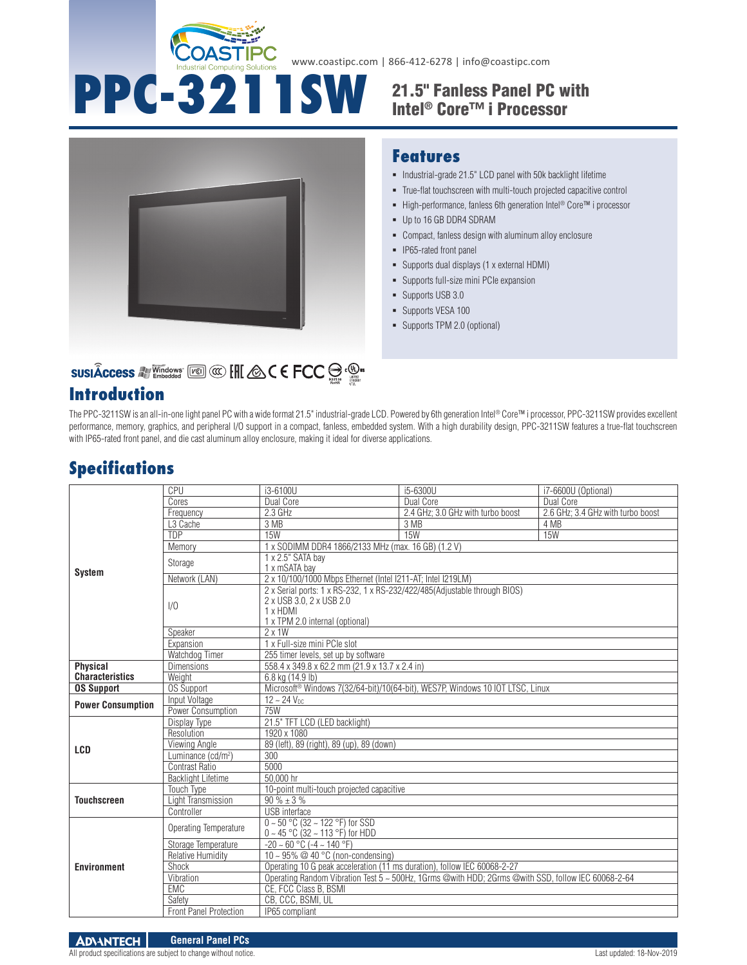

www.coastipc.com | 866-412-6278 | info@coastipc.com

# **PPC-3211SW** 21.5" Fanless Panel PC with Intel® Core™ i Processor



#### **Features**

- $\blacksquare$  Industrial-grade 21.5" LCD panel with 50k backlight lifetime
- True-flat touchscreen with multi-touch projected capacitive control
- High-performance, fanless 6th generation Intel<sup>®</sup> Core™ i processor
- Up to 16 GB DDR4 SDRAM
- Compact, fanless design with aluminum alloy enclosure
- **IP65-rated front panel**
- Supports dual displays (1 x external HDMI)
- Supports full-size mini PCIe expansion
- **Supports USB 3.0**
- **Supports VESA 100**
- Supports TPM 2.0 (optional)

# SUSIÂCCESS A Vindows [20] @ [H] & C E FCC S . @ .

### **Introduction**

The PPC-3211SW is an all-in-one light panel PC with a wide format 21.5" industrial-grade LCD. Powered by 6th generation Intel® Core™ i processor, PPC-3211SW provides excellent performance, memory, graphics, and peripheral I/O support in a compact, fanless, embedded system. With a high durability design, PPC-3211SW features a true-flat touchscreen with IP65-rated front panel, and die cast aluminum alloy enclosure, making it ideal for diverse applications.

## **Specifications**

| <b>System</b>            | CPU                            | i3-6100U                                                                                                                                             | i5-6300U                          | i7-6600U (Optional)               |  |
|--------------------------|--------------------------------|------------------------------------------------------------------------------------------------------------------------------------------------------|-----------------------------------|-----------------------------------|--|
|                          | Cores                          | Dual Core                                                                                                                                            | Dual Core                         | Dual Core                         |  |
|                          | Frequency                      | 2.3 GHz                                                                                                                                              | 2.4 GHz; 3.0 GHz with turbo boost | 2.6 GHz; 3.4 GHz with turbo boost |  |
|                          | L <sub>3</sub> Cache           | 3 MB                                                                                                                                                 | 3 MB                              | 4 MB                              |  |
|                          | TDP                            | 15W                                                                                                                                                  | 15W                               | 15W                               |  |
|                          | Memory                         | 1 x SODIMM DDR4 1866/2133 MHz (max. 16 GB) (1.2 V)                                                                                                   |                                   |                                   |  |
|                          | Storage                        | 1 x 2.5" SATA bay<br>1 x mSATA bay                                                                                                                   |                                   |                                   |  |
|                          | Network (LAN)                  | 2 x 10/100/1000 Mbps Ethernet (Intel I211-AT: Intel I219LM)                                                                                          |                                   |                                   |  |
|                          | 1/0                            | 2 x Serial ports: 1 x RS-232, 1 x RS-232/422/485(Adjustable through BIOS)<br>2 x USB 3.0, 2 x USB 2.0<br>1 x HDMI<br>1 x TPM 2.0 internal (optional) |                                   |                                   |  |
|                          | Speaker                        | $2 \times 1W$                                                                                                                                        |                                   |                                   |  |
|                          | Expansion                      | 1 x Full-size mini PCIe slot                                                                                                                         |                                   |                                   |  |
|                          | Watchdog Timer                 | 255 timer levels, set up by software                                                                                                                 |                                   |                                   |  |
| <b>Physical</b>          | <b>Dimensions</b>              | 558.4 x 349.8 x 62.2 mm (21.9 x 13.7 x 2.4 in)                                                                                                       |                                   |                                   |  |
| <b>Characteristics</b>   | Weight                         | 6.8 kg (14.9 lb)                                                                                                                                     |                                   |                                   |  |
| <b>OS Support</b>        | <b>OS Support</b>              | Microsoft <sup>®</sup> Windows 7(32/64-bit)/10(64-bit), WES7P, Windows 10 IOT LTSC, Linux                                                            |                                   |                                   |  |
| <b>Power Consumption</b> | Input Voltage                  | $12 - 24$ V <sub>nc</sub>                                                                                                                            |                                   |                                   |  |
|                          | Power Consumption              | <b>75W</b>                                                                                                                                           |                                   |                                   |  |
| <b>LCD</b>               | Display Type                   | 21.5" TFT LCD (LED backlight)                                                                                                                        |                                   |                                   |  |
|                          | Resolution                     | 1920 x 1080                                                                                                                                          |                                   |                                   |  |
|                          | Viewing Angle                  | 89 (left), 89 (right), 89 (up), 89 (down)                                                                                                            |                                   |                                   |  |
|                          | Luminance (cd/m <sup>2</sup> ) | 300                                                                                                                                                  |                                   |                                   |  |
|                          | <b>Contrast Ratio</b>          | 5000                                                                                                                                                 |                                   |                                   |  |
|                          | <b>Backlight Lifetime</b>      | 50.000 hr                                                                                                                                            |                                   |                                   |  |
| <b>Touchscreen</b>       | <b>Touch Type</b>              | 10-point multi-touch projected capacitive                                                                                                            |                                   |                                   |  |
|                          | Light Transmission             | $90\% \pm 3\%$                                                                                                                                       |                                   |                                   |  |
|                          | Controller                     | <b>USB</b> interface                                                                                                                                 |                                   |                                   |  |
| <b>Environment</b>       | Operating Temperature          | $0 \sim 50$ °C (32 ~ 122 °F) for SSD<br>$0 \sim 45$ °C (32 ~ 113 °F) for HDD                                                                         |                                   |                                   |  |
|                          | Storage Temperature            | $-20 \sim 60$ °C ( $-4 \sim 140$ °F)                                                                                                                 |                                   |                                   |  |
|                          | <b>Relative Humidity</b>       | 10 ~ 95% @ 40 $\degree$ C (non-condensing)                                                                                                           |                                   |                                   |  |
|                          | Shock                          | Operating 10 G peak acceleration (11 ms duration), follow IEC 60068-2-27                                                                             |                                   |                                   |  |
|                          | Vibration                      | Operating Random Vibration Test 5 ~ 500Hz, 1Grms @with HDD; 2Grms @with SSD, follow IEC 60068-2-64                                                   |                                   |                                   |  |
|                          | <b>EMC</b>                     | CE. FCC Class B. BSMI                                                                                                                                |                                   |                                   |  |
|                          | Safety                         | CB, CCC, BSMI, UL                                                                                                                                    |                                   |                                   |  |
|                          | <b>Front Panel Protection</b>  | IP65 compliant                                                                                                                                       |                                   |                                   |  |

All product specifications are subject to change without notice. Last updated: 18-Nov-2019